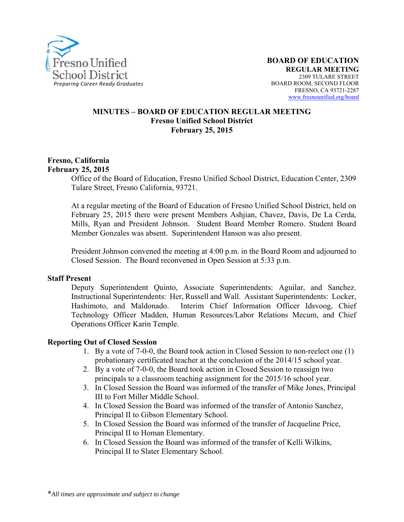

#### **MINUTES – BOARD OF EDUCATION REGULAR MEETING Fresno Unified School District February 25, 2015**

#### **Fresno, California February 25, 2015**

Office of the Board of Education, Fresno Unified School District, Education Center, 2309 Tulare Street, Fresno California, 93721.

At a regular meeting of the Board of Education of Fresno Unified School District, held on February 25, 2015 there were present Members Ashjian, Chavez, Davis, De La Cerda, Mills, Ryan and President Johnson. Student Board Member Romero. Student Board Member Gonzales was absent. Superintendent Hanson was also present.

President Johnson convened the meeting at 4:00 p.m. in the Board Room and adjourned to Closed Session. The Board reconvened in Open Session at 5:33 p.m.

#### **Staff Present**

Deputy Superintendent Quinto, Associate Superintendents: Aguilar, and Sanchez. Instructional Superintendents: Her, Russell and Wall. Assistant Superintendents: Locker, Hashimoto, and Maldonado. Interim Chief Information Officer Idsvoog, Chief Technology Officer Madden, Human Resources/Labor Relations Mecum, and Chief Operations Officer Karin Temple.

#### **Reporting Out of Closed Session**

- 1. By a vote of 7-0-0, the Board took action in Closed Session to non-reelect one (1) probationary certificated teacher at the conclusion of the 2014/15 school year.
- 2. By a vote of 7-0-0, the Board took action in Closed Session to reassign two principals to a classroom teaching assignment for the 2015/16 school year.
- 3. In Closed Session the Board was informed of the transfer of Mike Jones, Principal III to Fort Miller Middle School.
- 4. In Closed Session the Board was informed of the transfer of Antonio Sanchez, Principal II to Gibson Elementary School.
- 5. In Closed Session the Board was informed of the transfer of Jacqueline Price, Principal II to Homan Elementary.
- 6. In Closed Session the Board was informed of the transfer of Kelli Wilkins, Principal II to Slater Elementary School.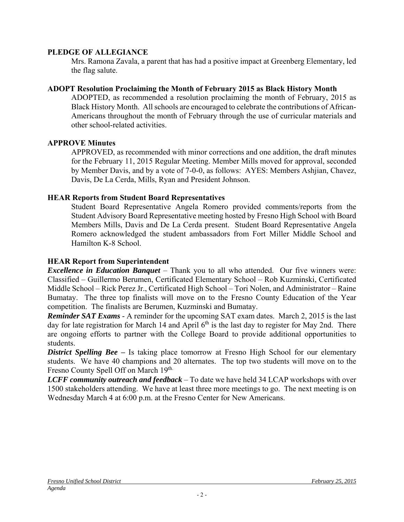#### **PLEDGE OF ALLEGIANCE**

Mrs. Ramona Zavala, a parent that has had a positive impact at Greenberg Elementary, led the flag salute.

#### **ADOPT Resolution Proclaiming the Month of February 2015 as Black History Month**

ADOPTED, as recommended a resolution proclaiming the month of February, 2015 as Black History Month. All schools are encouraged to celebrate the contributions of African-Americans throughout the month of February through the use of curricular materials and other school-related activities.

#### **APPROVE Minutes**

APPROVED, as recommended with minor corrections and one addition, the draft minutes for the February 11, 2015 Regular Meeting. Member Mills moved for approval, seconded by Member Davis, and by a vote of 7-0-0, as follows: AYES: Members Ashjian, Chavez, Davis, De La Cerda, Mills, Ryan and President Johnson.

#### **HEAR Reports from Student Board Representatives**

Student Board Representative Angela Romero provided comments/reports from the Student Advisory Board Representative meeting hosted by Fresno High School with Board Members Mills, Davis and De La Cerda present. Student Board Representative Angela Romero acknowledged the student ambassadors from Fort Miller Middle School and Hamilton K-8 School.

#### **HEAR Report from Superintendent**

*Excellence in Education Banquet* – Thank you to all who attended. Our five winners were: Classified – Guillermo Berumen, Certificated Elementary School – Rob Kuzminski, Certificated Middle School – Rick Perez Jr., Certificated High School – Tori Nolen, and Administrator – Raine Bumatay. The three top finalists will move on to the Fresno County Education of the Year competition. The finalists are Berumen, Kuzminski and Bumatay.

*Reminder SAT Exams* - A reminder for the upcoming SAT exam dates. March 2, 2015 is the last day for late registration for March 14 and April  $6<sup>th</sup>$  is the last day to register for May 2nd. There are ongoing efforts to partner with the College Board to provide additional opportunities to students.

**District Spelling Bee** – Is taking place tomorrow at Fresno High School for our elementary students. We have 40 champions and 20 alternates. The top two students will move on to the Fresno County Spell Off on March 19th.

*LCFF community outreach and feedback* – To date we have held 34 LCAP workshops with over 1500 stakeholders attending. We have at least three more meetings to go. The next meeting is on Wednesday March 4 at 6:00 p.m. at the Fresno Center for New Americans.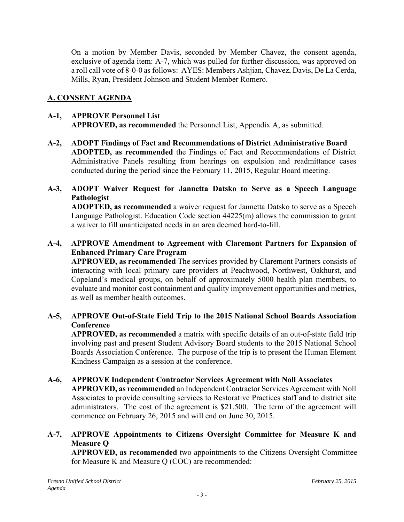On a motion by Member Davis, seconded by Member Chavez, the consent agenda, exclusive of agenda item: A-7, which was pulled for further discussion, was approved on a roll call vote of 8-0-0 as follows: AYES: Members Ashjian, Chavez, Davis, De La Cerda, Mills, Ryan, President Johnson and Student Member Romero.

# **A. CONSENT AGENDA**

### **A-1, APPROVE Personnel List APPROVED, as recommended** the Personnel List, Appendix A, as submitted.

**A-2, ADOPT Findings of Fact and Recommendations of District Administrative Board ADOPTED, as recommended** the Findings of Fact and Recommendations of District Administrative Panels resulting from hearings on expulsion and readmittance cases conducted during the period since the February 11, 2015, Regular Board meeting.

## **A-3, ADOPT Waiver Request for Jannetta Datsko to Serve as a Speech Language Pathologist**

**ADOPTED, as recommended** a waiver request for Jannetta Datsko to serve as a Speech Language Pathologist. Education Code section 44225(m) allows the commission to grant a waiver to fill unanticipated needs in an area deemed hard-to-fill.

## **A-4, APPROVE Amendment to Agreement with Claremont Partners for Expansion of Enhanced Primary Care Program**

**APPROVED, as recommended** The services provided by Claremont Partners consists of interacting with local primary care providers at Peachwood, Northwest, Oakhurst, and Copeland's medical groups, on behalf of approximately 5000 health plan members, to evaluate and monitor cost containment and quality improvement opportunities and metrics, as well as member health outcomes.

## **A-5, APPROVE Out-of-State Field Trip to the 2015 National School Boards Association Conference**

**APPROVED, as recommended** a matrix with specific details of an out-of-state field trip involving past and present Student Advisory Board students to the 2015 National School Boards Association Conference. The purpose of the trip is to present the Human Element Kindness Campaign as a session at the conference.

## **A-6, APPROVE Independent Contractor Services Agreement with Noll Associates**

**APPROVED, as recommended** an Independent Contractor Services Agreement with Noll Associates to provide consulting services to Restorative Practices staff and to district site administrators. The cost of the agreement is \$21,500. The term of the agreement will commence on February 26, 2015 and will end on June 30, 2015.

## **A-7, APPROVE Appointments to Citizens Oversight Committee for Measure K and Measure Q**

**APPROVED, as recommended** two appointments to the Citizens Oversight Committee for Measure K and Measure Q (COC) are recommended: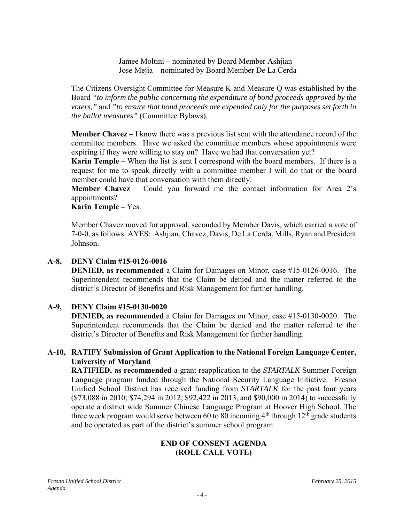Jamee Moltini – nominated by Board Member Ashjian Jose Mejia – nominated by Board Member De La Cerda

The Citizens Oversight Committee for Measure K and Measure Q was established by the Board *"to inform the public concerning the expenditure of bond proceeds approved by the voters,"* and *"to ensure that bond proceeds are expended only for the purposes set forth in the ballot measures"* (Committee Bylaws)*.* 

**Member Chavez** – I know there was a previous list sent with the attendance record of the committee members. Have we asked the committee members whose appointments were expiring if they were willing to stay on? Have we had that conversation yet?

**Karin Temple** – When the list is sent I correspond with the board members. If there is a request for me to speak directly with a committee member I will do that or the board member could have that conversation with them directly.

**Member Chavez** – Could you forward me the contact information for Area 2's appointments?

## **Karin Temple –** Yes.

Member Chavez moved for approval, seconded by Member Davis, which carried a vote of 7-0-0, as follows: AYES: Ashjian, Chavez, Davis, De La Cerda, Mills, Ryan and President Johnson.

## **A-8, DENY Claim #15-0126-0016**

**DENIED, as recommended** a Claim for Damages on Minor, case #15-0126-0016. The Superintendent recommends that the Claim be denied and the matter referred to the district's Director of Benefits and Risk Management for further handling.

## **A-9, DENY Claim #15-0130-0020**

**DENIED, as recommended** a Claim for Damages on Minor, case #15-0130-0020. The Superintendent recommends that the Claim be denied and the matter referred to the district's Director of Benefits and Risk Management for further handling.

### **A-10, RATIFY Submission of Grant Application to the National Foreign Language Center, University of Maryland**

**RATIFIED, as recommended** a grant reapplication to the *STARTALK* Summer Foreign Language program funded through the National Security Language Initiative. Fresno Unified School District has received funding from *STARTALK* for the past four years (\$73,088 in 2010; \$74,294 in 2012; \$92,422 in 2013, and \$90,000 in 2014) to successfully operate a district wide Summer Chinese Language Program at Hoover High School. The three week program would serve between 60 to 80 incoming  $4<sup>th</sup>$  through  $12<sup>th</sup>$  grade students and be operated as part of the district's summer school program.

#### **END OF CONSENT AGENDA (ROLL CALL VOTE)**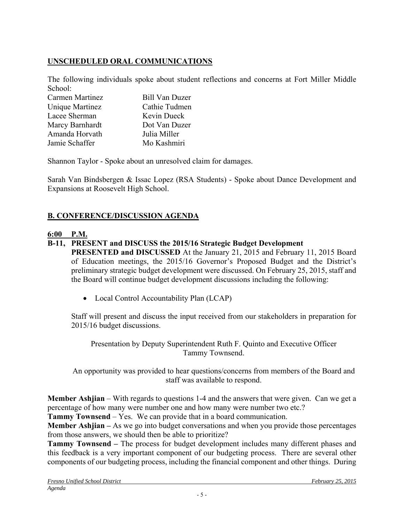# **UNSCHEDULED ORAL COMMUNICATIONS**

The following individuals spoke about student reflections and concerns at Fort Miller Middle School:

| <b>Bill Van Duzer</b> |
|-----------------------|
| Cathie Tudmen         |
| Kevin Dueck           |
| Dot Van Duzer         |
| Julia Miller          |
| Mo Kashmiri           |
|                       |

Shannon Taylor - Spoke about an unresolved claim for damages.

Sarah Van Bindsbergen & Issac Lopez (RSA Students) - Spoke about Dance Development and Expansions at Roosevelt High School.

## **B. CONFERENCE/DISCUSSION AGENDA**

### **6:00 P.M.**

### **B-11, PRESENT and DISCUSS the 2015/16 Strategic Budget Development**

**PRESENTED and DISCUSSED** At the January 21, 2015 and February 11, 2015 Board of Education meetings, the 2015/16 Governor's Proposed Budget and the District's preliminary strategic budget development were discussed. On February 25, 2015, staff and the Board will continue budget development discussions including the following:

• Local Control Accountability Plan (LCAP)

Staff will present and discuss the input received from our stakeholders in preparation for 2015/16 budget discussions.

Presentation by Deputy Superintendent Ruth F. Quinto and Executive Officer Tammy Townsend.

An opportunity was provided to hear questions/concerns from members of the Board and staff was available to respond.

**Member Ashjian** – With regards to questions 1-4 and the answers that were given. Can we get a percentage of how many were number one and how many were number two etc.?

**Tammy Townsend** – Yes. We can provide that in a board communication.

**Member Ashjian –** As we go into budget conversations and when you provide those percentages from those answers, we should then be able to prioritize?

**Tammy Townsend –** The process for budget development includes many different phases and this feedback is a very important component of our budgeting process. There are several other components of our budgeting process, including the financial component and other things. During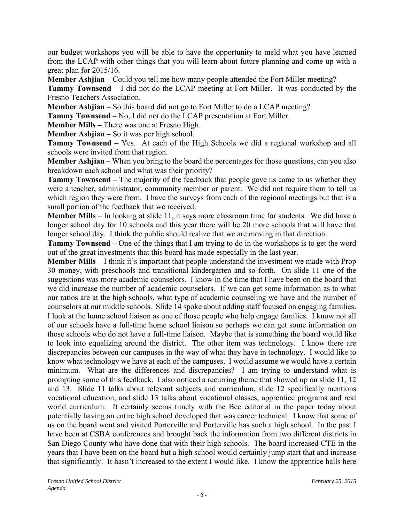our budget workshops you will be able to have the opportunity to meld what you have learned from the LCAP with other things that you will learn about future planning and come up with a great plan for 2015/16.

**Member Ashijan** – Could you tell me how many people attended the Fort Miller meeting?

**Tammy Townsend** – I did not do the LCAP meeting at Fort Miller. It was conducted by the Fresno Teachers Association.

**Member Ashjian** – So this board did not go to Fort Miller to do a LCAP meeting?

**Tammy Townsend** – No, I did not do the LCAP presentation at Fort Miller.

**Member Mills –** There was one at Fresno High.

**Member Ashjian** – So it was per high school.

**Tammy Townsend** – Yes. At each of the High Schools we did a regional workshop and all schools were invited from that region.

**Member Ashjian** – When you bring to the board the percentages for those questions, can you also breakdown each school and what was their priority?

**Tammy Townsend –** The majority of the feedback that people gave us came to us whether they were a teacher, administrator, community member or parent. We did not require them to tell us which region they were from. I have the surveys from each of the regional meetings but that is a small portion of the feedback that we received.

**Member Mills** – In looking at slide 11, it says more classroom time for students. We did have a longer school day for 10 schools and this year there will be 20 more schools that will have that longer school day. I think the public should realize that we are moving in that direction.

**Tammy Townsend** – One of the things that I am trying to do in the workshops is to get the word out of the great investments that this board has made especially in the last year.

**Member Mills** – I think it's important that people understand the investment we made with Prop 30 money, with preschools and transitional kindergarten and so forth. On slide 11 one of the suggestions was more academic counselors. I know in the time that I have been on the board that we did increase the number of academic counselors. If we can get some information as to what our ratios are at the high schools, what type of academic counseling we have and the number of counselors at our middle schools. Slide 14 spoke about adding staff focused on engaging families. I look at the home school liaison as one of those people who help engage families. I know not all of our schools have a full-time home school liaison so perhaps we can get some information on those schools who do not have a full-time liaison. Maybe that is something the board would like to look into equalizing around the district. The other item was technology. I know there are discrepancies between our campuses in the way of what they have in technology. I would like to know what technology we have at each of the campuses. I would assume we would have a certain minimum. What are the differences and discrepancies? I am trying to understand what is prompting some of this feedback. I also noticed a recurring theme that showed up on slide 11, 12 and 13. Slide 11 talks about relevant subjects and curriculum, slide 12 specifically mentions vocational education, and slide 13 talks about vocational classes, apprentice programs and real world curriculum. It certainly seems timely with the Bee editorial in the paper today about potentially having an entire high school developed that was career technical. I know that some of us on the board went and visited Porterville and Porterville has such a high school. In the past I have been at CSBA conferences and brought back the information from two different districts in San Diego County who have done that with their high schools. The board increased CTE in the years that I have been on the board but a high school would certainly jump start that and increase that significantly. It hasn't increased to the extent I would like. I know the apprentice halls here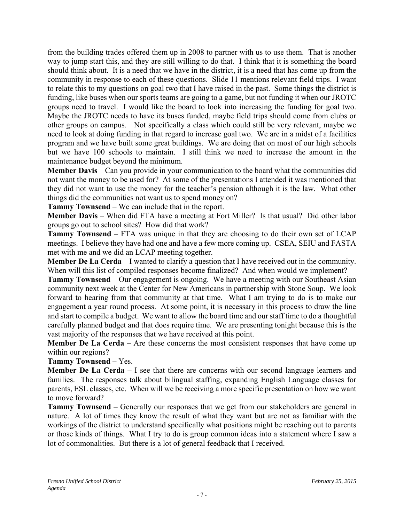from the building trades offered them up in 2008 to partner with us to use them. That is another way to jump start this, and they are still willing to do that. I think that it is something the board should think about. It is a need that we have in the district, it is a need that has come up from the community in response to each of these questions. Slide 11 mentions relevant field trips. I want to relate this to my questions on goal two that I have raised in the past. Some things the district is funding, like buses when our sports teams are going to a game, but not funding it when our JROTC groups need to travel. I would like the board to look into increasing the funding for goal two. Maybe the JROTC needs to have its buses funded, maybe field trips should come from clubs or other groups on campus. Not specifically a class which could still be very relevant, maybe we need to look at doing funding in that regard to increase goal two. We are in a midst of a facilities program and we have built some great buildings. We are doing that on most of our high schools but we have 100 schools to maintain. I still think we need to increase the amount in the maintenance budget beyond the minimum.

**Member Davis** – Can you provide in your communication to the board what the communities did not want the money to be used for? At some of the presentations I attended it was mentioned that they did not want to use the money for the teacher's pension although it is the law. What other things did the communities not want us to spend money on?

**Tammy Townsend** – We can include that in the report.

**Member Davis** – When did FTA have a meeting at Fort Miller? Is that usual? Did other labor groups go out to school sites? How did that work?

**Tammy Townsend** – FTA was unique in that they are choosing to do their own set of LCAP meetings. I believe they have had one and have a few more coming up. CSEA, SEIU and FASTA met with me and we did an LCAP meeting together.

**Member De La Cerda** – I wanted to clarify a question that I have received out in the community. When will this list of compiled responses become finalized? And when would we implement?

**Tammy Townsend** – Our engagement is ongoing. We have a meeting with our Southeast Asian community next week at the Center for New Americans in partnership with Stone Soup. We look forward to hearing from that community at that time. What I am trying to do is to make our engagement a year round process. At some point, it is necessary in this process to draw the line and start to compile a budget. We want to allow the board time and our staff time to do a thoughtful carefully planned budget and that does require time. We are presenting tonight because this is the vast majority of the responses that we have received at this point.

**Member De La Cerda – Are these concerns the most consistent responses that have come up** within our regions?

**Tammy Townsend** – Yes.

**Member De La Cerda** – I see that there are concerns with our second language learners and families. The responses talk about bilingual staffing, expanding English Language classes for parents, ESL classes, etc. When will we be receiving a more specific presentation on how we want to move forward?

**Tammy Townsend** – Generally our responses that we get from our stakeholders are general in nature. A lot of times they know the result of what they want but are not as familiar with the workings of the district to understand specifically what positions might be reaching out to parents or those kinds of things. What I try to do is group common ideas into a statement where I saw a lot of commonalities. But there is a lot of general feedback that I received.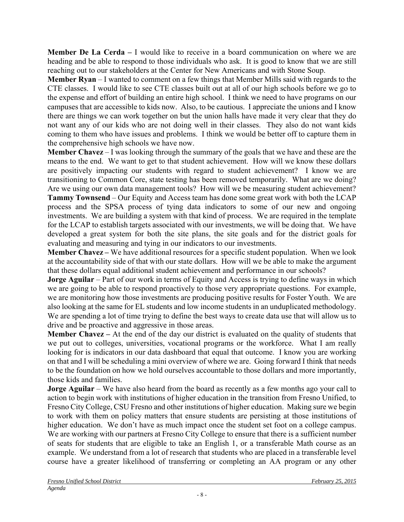**Member De La Cerda** – I would like to receive in a board communication on where we are heading and be able to respond to those individuals who ask. It is good to know that we are still reaching out to our stakeholders at the Center for New Americans and with Stone Soup.

**Member Ryan** – I wanted to comment on a few things that Member Mills said with regards to the CTE classes. I would like to see CTE classes built out at all of our high schools before we go to the expense and effort of building an entire high school. I think we need to have programs on our campuses that are accessible to kids now. Also, to be cautious. I appreciate the unions and I know there are things we can work together on but the union halls have made it very clear that they do not want any of our kids who are not doing well in their classes. They also do not want kids coming to them who have issues and problems. I think we would be better off to capture them in the comprehensive high schools we have now.

**Member Chavez** – I was looking through the summary of the goals that we have and these are the means to the end. We want to get to that student achievement. How will we know these dollars are positively impacting our students with regard to student achievement? I know we are transitioning to Common Core, state testing has been removed temporarily. What are we doing? Are we using our own data management tools? How will we be measuring student achievement? **Tammy Townsend** – Our Equity and Access team has done some great work with both the LCAP process and the SPSA process of tying data indicators to some of our new and ongoing investments. We are building a system with that kind of process. We are required in the template for the LCAP to establish targets associated with our investments, we will be doing that. We have developed a great system for both the site plans, the site goals and for the district goals for evaluating and measuring and tying in our indicators to our investments.

**Member Chavez –** We have additional resources for a specific student population. When we look at the accountability side of that with our state dollars. How will we be able to make the argument that these dollars equal additional student achievement and performance in our schools?

**Jorge Aguilar** – Part of our work in terms of Equity and Access is trying to define ways in which we are going to be able to respond proactively to those very appropriate questions. For example, we are monitoring how those investments are producing positive results for Foster Youth. We are also looking at the same for EL students and low income students in an unduplicated methodology. We are spending a lot of time trying to define the best ways to create data use that will allow us to drive and be proactive and aggressive in those areas.

**Member Chavez** – At the end of the day our district is evaluated on the quality of students that we put out to colleges, universities, vocational programs or the workforce. What I am really looking for is indicators in our data dashboard that equal that outcome. I know you are working on that and I will be scheduling a mini overview of where we are. Going forward I think that needs to be the foundation on how we hold ourselves accountable to those dollars and more importantly, those kids and families.

**Jorge Aguilar** – We have also heard from the board as recently as a few months ago your call to action to begin work with institutions of higher education in the transition from Fresno Unified, to Fresno City College, CSU Fresno and other institutions of higher education. Making sure we begin to work with them on policy matters that ensure students are persisting at those institutions of higher education. We don't have as much impact once the student set foot on a college campus. We are working with our partners at Fresno City College to ensure that there is a sufficient number of seats for students that are eligible to take an English 1, or a transferable Math course as an example. We understand from a lot of research that students who are placed in a transferable level course have a greater likelihood of transferring or completing an AA program or any other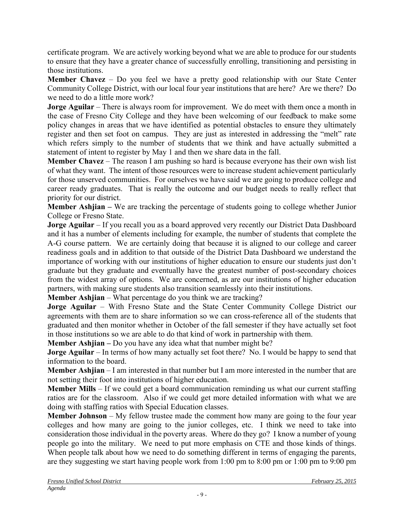certificate program. We are actively working beyond what we are able to produce for our students to ensure that they have a greater chance of successfully enrolling, transitioning and persisting in those institutions.

**Member Chavez** – Do you feel we have a pretty good relationship with our State Center Community College District, with our local four year institutions that are here? Are we there? Do we need to do a little more work?

**Jorge Aguilar** – There is always room for improvement. We do meet with them once a month in the case of Fresno City College and they have been welcoming of our feedback to make some policy changes in areas that we have identified as potential obstacles to ensure they ultimately register and then set foot on campus. They are just as interested in addressing the "melt" rate which refers simply to the number of students that we think and have actually submitted a statement of intent to register by May 1 and then we share data in the fall.

**Member Chavez** – The reason I am pushing so hard is because everyone has their own wish list of what they want. The intent of those resources were to increase student achievement particularly for those unserved communities. For ourselves we have said we are going to produce college and career ready graduates. That is really the outcome and our budget needs to really reflect that priority for our district.

**Member Ashjian –** We are tracking the percentage of students going to college whether Junior College or Fresno State.

**Jorge Aguilar** – If you recall you as a board approved very recently our District Data Dashboard and it has a number of elements including for example, the number of students that complete the A-G course pattern. We are certainly doing that because it is aligned to our college and career readiness goals and in addition to that outside of the District Data Dashboard we understand the importance of working with our institutions of higher education to ensure our students just don't graduate but they graduate and eventually have the greatest number of post-secondary choices from the widest array of options. We are concerned, as are our institutions of higher education partners, with making sure students also transition seamlessly into their institutions.

**Member Ashjian** – What percentage do you think we are tracking?

**Jorge Aguilar** – With Fresno State and the State Center Community College District our agreements with them are to share information so we can cross-reference all of the students that graduated and then monitor whether in October of the fall semester if they have actually set foot in those institutions so we are able to do that kind of work in partnership with them.

**Member Ashijan** – Do you have any idea what that number might be?

**Jorge Aguilar** – In terms of how many actually set foot there? No. I would be happy to send that information to the board.

**Member Ashjian** – I am interested in that number but I am more interested in the number that are not setting their foot into institutions of higher education.

**Member Mills** – If we could get a board communication reminding us what our current staffing ratios are for the classroom. Also if we could get more detailed information with what we are doing with staffing ratios with Special Education classes.

**Member Johnson** – My fellow trustee made the comment how many are going to the four year colleges and how many are going to the junior colleges, etc. I think we need to take into consideration those individual in the poverty areas. Where do they go? I know a number of young people go into the military. We need to put more emphasis on CTE and those kinds of things. When people talk about how we need to do something different in terms of engaging the parents, are they suggesting we start having people work from 1:00 pm to 8:00 pm or 1:00 pm to 9:00 pm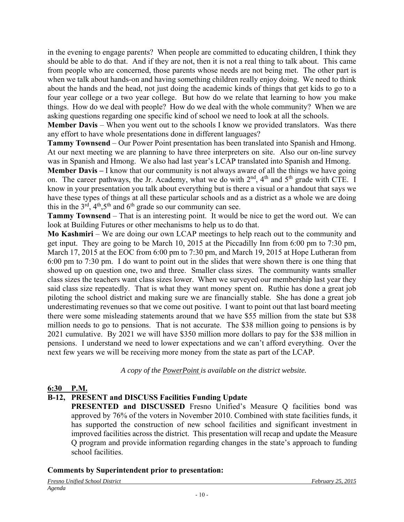in the evening to engage parents? When people are committed to educating children, I think they should be able to do that. And if they are not, then it is not a real thing to talk about. This came from people who are concerned, those parents whose needs are not being met. The other part is when we talk about hands-on and having something children really enjoy doing. We need to think about the hands and the head, not just doing the academic kinds of things that get kids to go to a four year college or a two year college. But how do we relate that learning to how you make things. How do we deal with people? How do we deal with the whole community? When we are asking questions regarding one specific kind of school we need to look at all the schools.

**Member Davis** – When you went out to the schools I know we provided translators. Was there any effort to have whole presentations done in different languages?

**Tammy Townsend** – Our Power Point presentation has been translated into Spanish and Hmong. At our next meeting we are planning to have three interpreters on site. Also our on-line survey was in Spanish and Hmong. We also had last year's LCAP translated into Spanish and Hmong.

**Member Davis** – I know that our community is not always aware of all the things we have going on. The career pathways, the Jr. Academy, what we do with  $2<sup>nd</sup>$ , 4<sup>th</sup> and 5<sup>th</sup> grade with CTE. I know in your presentation you talk about everything but is there a visual or a handout that says we have these types of things at all these particular schools and as a district as a whole we are doing this in the  $3<sup>rd</sup>$ ,  $4<sup>th</sup>$ ,  $5<sup>th</sup>$  and  $6<sup>th</sup>$  grade so our community can see.

**Tammy Townsend** – That is an interesting point. It would be nice to get the word out. We can look at Building Futures or other mechanisms to help us to do that.

**Mo Kashmiri** – We are doing our own LCAP meetings to help reach out to the community and get input. They are going to be March 10, 2015 at the Piccadilly Inn from 6:00 pm to 7:30 pm, March 17, 2015 at the EOC from 6:00 pm to 7:30 pm, and March 19, 2015 at Hope Lutheran from 6:00 pm to 7:30 pm. I do want to point out in the slides that were shown there is one thing that showed up on question one, two and three. Smaller class sizes. The community wants smaller class sizes the teachers want class sizes lower. When we surveyed our membership last year they said class size repeatedly. That is what they want money spent on. Ruthie has done a great job piloting the school district and making sure we are financially stable. She has done a great job underestimating revenues so that we come out positive. I want to point out that last board meeting there were some misleading statements around that we have \$55 million from the state but \$38 million needs to go to pensions. That is not accurate. The \$38 million going to pensions is by 2021 cumulative. By 2021 we will have \$350 million more dollars to pay for the \$38 million in pensions. I understand we need to lower expectations and we can't afford everything. Over the next few years we will be receiving more money from the state as part of the LCAP.

*A copy of the PowerPoint is available on the district website.* 

#### **6:30 P.M.**

## **B-12, PRESENT and DISCUSS Facilities Funding Update**

**PRESENTED and DISCUSSED** Fresno Unified's Measure O facilities bond was approved by 76% of the voters in November 2010. Combined with state facilities funds, it has supported the construction of new school facilities and significant investment in improved facilities across the district. This presentation will recap and update the Measure Q program and provide information regarding changes in the state's approach to funding school facilities.

#### **Comments by Superintendent prior to presentation:**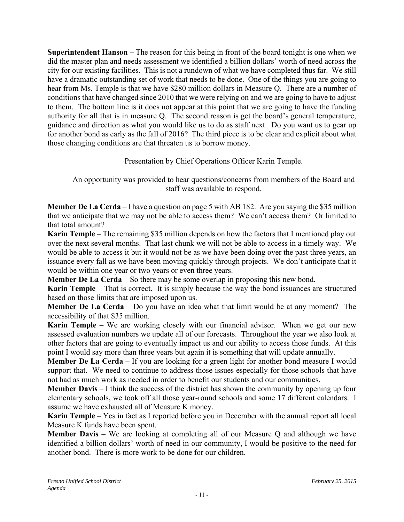**Superintendent Hanson –** The reason for this being in front of the board tonight is one when we did the master plan and needs assessment we identified a billion dollars' worth of need across the city for our existing facilities. This is not a rundown of what we have completed thus far. We still have a dramatic outstanding set of work that needs to be done. One of the things you are going to hear from Ms. Temple is that we have \$280 million dollars in Measure Q. There are a number of conditions that have changed since 2010 that we were relying on and we are going to have to adjust to them. The bottom line is it does not appear at this point that we are going to have the funding authority for all that is in measure Q. The second reason is get the board's general temperature, guidance and direction as what you would like us to do as staff next. Do you want us to gear up for another bond as early as the fall of 2016? The third piece is to be clear and explicit about what those changing conditions are that threaten us to borrow money.

Presentation by Chief Operations Officer Karin Temple.

An opportunity was provided to hear questions/concerns from members of the Board and staff was available to respond.

**Member De La Cerda** – I have a question on page 5 with AB 182. Are you saying the \$35 million that we anticipate that we may not be able to access them? We can't access them? Or limited to that total amount?

**Karin Temple** – The remaining \$35 million depends on how the factors that I mentioned play out over the next several months. That last chunk we will not be able to access in a timely way. We would be able to access it but it would not be as we have been doing over the past three years, an issuance every fall as we have been moving quickly through projects. We don't anticipate that it would be within one year or two years or even three years.

**Member De La Cerda** – So there may be some overlap in proposing this new bond.

**Karin Temple** – That is correct. It is simply because the way the bond issuances are structured based on those limits that are imposed upon us.

**Member De La Cerda** – Do you have an idea what that limit would be at any moment? The accessibility of that \$35 million.

**Karin Temple** – We are working closely with our financial advisor. When we get our new assessed evaluation numbers we update all of our forecasts. Throughout the year we also look at other factors that are going to eventually impact us and our ability to access those funds. At this point I would say more than three years but again it is something that will update annually.

**Member De La Cerda** – If you are looking for a green light for another bond measure I would support that. We need to continue to address those issues especially for those schools that have not had as much work as needed in order to benefit our students and our communities.

**Member Davis** – I think the success of the district has shown the community by opening up four elementary schools, we took off all those year-round schools and some 17 different calendars. I assume we have exhausted all of Measure K money.

**Karin Temple** – Yes in fact as I reported before you in December with the annual report all local Measure K funds have been spent.

**Member Davis** – We are looking at completing all of our Measure Q and although we have identified a billion dollars' worth of need in our community, I would be positive to the need for another bond. There is more work to be done for our children.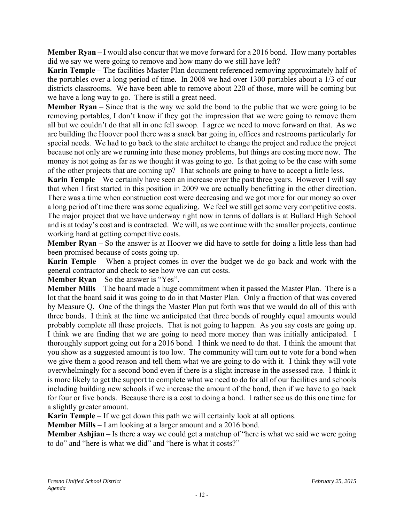**Member Ryan** – I would also concur that we move forward for a 2016 bond. How many portables did we say we were going to remove and how many do we still have left?

**Karin Temple** – The facilities Master Plan document referenced removing approximately half of the portables over a long period of time. In 2008 we had over 1300 portables about a 1/3 of our districts classrooms. We have been able to remove about 220 of those, more will be coming but we have a long way to go. There is still a great need.

**Member Ryan** – Since that is the way we sold the bond to the public that we were going to be removing portables, I don't know if they got the impression that we were going to remove them all but we couldn't do that all in one fell swoop. I agree we need to move forward on that. As we are building the Hoover pool there was a snack bar going in, offices and restrooms particularly for special needs. We had to go back to the state architect to change the project and reduce the project because not only are we running into these money problems, but things are costing more now. The money is not going as far as we thought it was going to go. Is that going to be the case with some of the other projects that are coming up? That schools are going to have to accept a little less.

**Karin Temple** – We certainly have seen an increase over the past three years. However I will say that when I first started in this position in 2009 we are actually benefitting in the other direction. There was a time when construction cost were decreasing and we got more for our money so over a long period of time there was some equalizing. We feel we still get some very competitive costs. The major project that we have underway right now in terms of dollars is at Bullard High School and is at today's cost and is contracted. We will, as we continue with the smaller projects, continue working hard at getting competitive costs.

**Member Ryan** – So the answer is at Hoover we did have to settle for doing a little less than had been promised because of costs going up.

**Karin Temple** – When a project comes in over the budget we do go back and work with the general contractor and check to see how we can cut costs.

**Member Ryan** – So the answer is "Yes".

**Member Mills** – The board made a huge commitment when it passed the Master Plan. There is a lot that the board said it was going to do in that Master Plan. Only a fraction of that was covered by Measure Q. One of the things the Master Plan put forth was that we would do all of this with three bonds. I think at the time we anticipated that three bonds of roughly equal amounts would probably complete all these projects. That is not going to happen. As you say costs are going up. I think we are finding that we are going to need more money than was initially anticipated. I thoroughly support going out for a 2016 bond. I think we need to do that. I think the amount that you show as a suggested amount is too low. The community will turn out to vote for a bond when we give them a good reason and tell them what we are going to do with it. I think they will vote overwhelmingly for a second bond even if there is a slight increase in the assessed rate. I think it is more likely to get the support to complete what we need to do for all of our facilities and schools including building new schools if we increase the amount of the bond, then if we have to go back for four or five bonds. Because there is a cost to doing a bond. I rather see us do this one time for a slightly greater amount.

**Karin Temple** – If we get down this path we will certainly look at all options.

**Member Mills** – I am looking at a larger amount and a 2016 bond.

**Member Ashjian** – Is there a way we could get a matchup of "here is what we said we were going to do" and "here is what we did" and "here is what it costs?"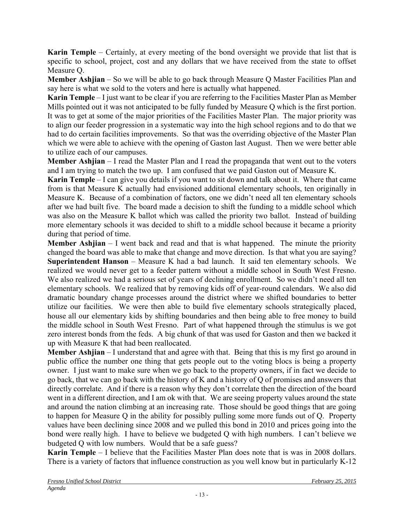**Karin Temple** – Certainly, at every meeting of the bond oversight we provide that list that is specific to school, project, cost and any dollars that we have received from the state to offset Measure Q.

**Member Ashjian** – So we will be able to go back through Measure Q Master Facilities Plan and say here is what we sold to the voters and here is actually what happened.

**Karin Temple** – I just want to be clear if you are referring to the Facilities Master Plan as Member Mills pointed out it was not anticipated to be fully funded by Measure Q which is the first portion. It was to get at some of the major priorities of the Facilities Master Plan. The major priority was to align our feeder progression in a systematic way into the high school regions and to do that we had to do certain facilities improvements. So that was the overriding objective of the Master Plan which we were able to achieve with the opening of Gaston last August. Then we were better able to utilize each of our campuses.

**Member Ashjian** – I read the Master Plan and I read the propaganda that went out to the voters and I am trying to match the two up. I am confused that we paid Gaston out of Measure K.

**Karin Temple** – I can give you details if you want to sit down and talk about it. Where that came from is that Measure K actually had envisioned additional elementary schools, ten originally in Measure K. Because of a combination of factors, one we didn't need all ten elementary schools after we had built five. The board made a decision to shift the funding to a middle school which was also on the Measure K ballot which was called the priority two ballot. Instead of building more elementary schools it was decided to shift to a middle school because it became a priority during that period of time.

**Member Ashjian** – I went back and read and that is what happened. The minute the priority changed the board was able to make that change and move direction. Is that what you are saying? **Superintendent Hanson** – Measure K had a bad launch. It said ten elementary schools. We realized we would never get to a feeder pattern without a middle school in South West Fresno. We also realized we had a serious set of years of declining enrollment. So we didn't need all ten elementary schools. We realized that by removing kids off of year-round calendars. We also did dramatic boundary change processes around the district where we shifted boundaries to better utilize our facilities. We were then able to build five elementary schools strategically placed, house all our elementary kids by shifting boundaries and then being able to free money to build the middle school in South West Fresno. Part of what happened through the stimulus is we got zero interest bonds from the feds. A big chunk of that was used for Gaston and then we backed it up with Measure K that had been reallocated.

**Member Ashjian** – I understand that and agree with that. Being that this is my first go around in public office the number one thing that gets people out to the voting blocs is being a property owner. I just want to make sure when we go back to the property owners, if in fact we decide to go back, that we can go back with the history of K and a history of Q of promises and answers that directly correlate. And if there is a reason why they don't correlate then the direction of the board went in a different direction, and I am ok with that. We are seeing property values around the state and around the nation climbing at an increasing rate. Those should be good things that are going to happen for Measure Q in the ability for possibly pulling some more funds out of Q. Property values have been declining since 2008 and we pulled this bond in 2010 and prices going into the bond were really high. I have to believe we budgeted Q with high numbers. I can't believe we budgeted Q with low numbers. Would that be a safe guess?

**Karin Temple** – I believe that the Facilities Master Plan does note that is was in 2008 dollars. There is a variety of factors that influence construction as you well know but in particularly K-12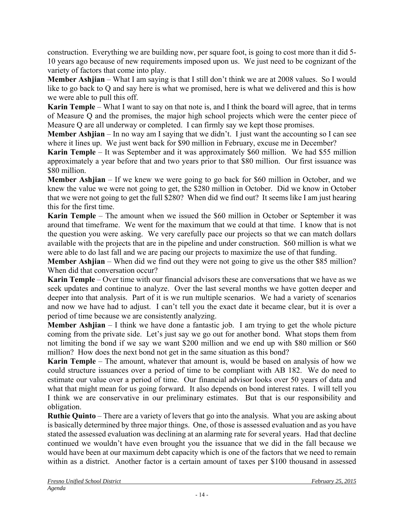construction. Everything we are building now, per square foot, is going to cost more than it did 5- 10 years ago because of new requirements imposed upon us. We just need to be cognizant of the variety of factors that come into play.

**Member Ashjian** – What I am saying is that I still don't think we are at 2008 values. So I would like to go back to Q and say here is what we promised, here is what we delivered and this is how we were able to pull this off.

**Karin Temple** – What I want to say on that note is, and I think the board will agree, that in terms of Measure Q and the promises, the major high school projects which were the center piece of Measure Q are all underway or completed. I can firmly say we kept those promises.

**Member Ashjian** – In no way am I saying that we didn't. I just want the accounting so I can see where it lines up. We just went back for \$90 million in February, excuse me in December?

**Karin Temple** – It was September and it was approximately \$60 million. We had \$55 million approximately a year before that and two years prior to that \$80 million. Our first issuance was \$80 million.

**Member Ashjian** – If we knew we were going to go back for \$60 million in October, and we knew the value we were not going to get, the \$280 million in October. Did we know in October that we were not going to get the full \$280? When did we find out? It seems like I am just hearing this for the first time.

**Karin Temple** – The amount when we issued the \$60 million in October or September it was around that timeframe. We went for the maximum that we could at that time. I know that is not the question you were asking. We very carefully pace our projects so that we can match dollars available with the projects that are in the pipeline and under construction. \$60 million is what we were able to do last fall and we are pacing our projects to maximize the use of that funding.

**Member Ashjian** – When did we find out they were not going to give us the other \$85 million? When did that conversation occur?

**Karin Temple** – Over time with our financial advisors these are conversations that we have as we seek updates and continue to analyze. Over the last several months we have gotten deeper and deeper into that analysis. Part of it is we run multiple scenarios. We had a variety of scenarios and now we have had to adjust. I can't tell you the exact date it became clear, but it is over a period of time because we are consistently analyzing.

**Member Ashjian** – I think we have done a fantastic job. I am trying to get the whole picture coming from the private side. Let's just say we go out for another bond. What stops them from not limiting the bond if we say we want \$200 million and we end up with \$80 million or \$60 million? How does the next bond not get in the same situation as this bond?

**Karin Temple** – The amount, whatever that amount is, would be based on analysis of how we could structure issuances over a period of time to be compliant with AB 182. We do need to estimate our value over a period of time. Our financial advisor looks over 50 years of data and what that might mean for us going forward. It also depends on bond interest rates. I will tell you I think we are conservative in our preliminary estimates. But that is our responsibility and obligation.

**Ruthie Quinto** – There are a variety of levers that go into the analysis. What you are asking about is basically determined by three major things. One, of those is assessed evaluation and as you have stated the assessed evaluation was declining at an alarming rate for several years. Had that decline continued we wouldn't have even brought you the issuance that we did in the fall because we would have been at our maximum debt capacity which is one of the factors that we need to remain within as a district. Another factor is a certain amount of taxes per \$100 thousand in assessed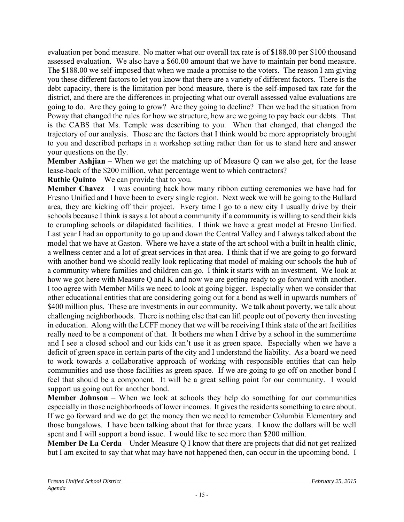evaluation per bond measure. No matter what our overall tax rate is of \$188.00 per \$100 thousand assessed evaluation. We also have a \$60.00 amount that we have to maintain per bond measure. The \$188.00 we self-imposed that when we made a promise to the voters. The reason I am giving you these different factors to let you know that there are a variety of different factors. There is the debt capacity, there is the limitation per bond measure, there is the self-imposed tax rate for the district, and there are the differences in projecting what our overall assessed value evaluations are going to do. Are they going to grow? Are they going to decline? Then we had the situation from Poway that changed the rules for how we structure, how are we going to pay back our debts. That is the CABS that Ms. Temple was describing to you. When that changed, that changed the trajectory of our analysis. Those are the factors that I think would be more appropriately brought to you and described perhaps in a workshop setting rather than for us to stand here and answer your questions on the fly.

**Member Ashjian** – When we get the matching up of Measure Q can we also get, for the lease lease-back of the \$200 million, what percentage went to which contractors?

**Ruthie Quinto** – We can provide that to you.

**Member Chavez** – I was counting back how many ribbon cutting ceremonies we have had for Fresno Unified and I have been to every single region. Next week we will be going to the Bullard area, they are kicking off their project. Every time I go to a new city I usually drive by their schools because I think is says a lot about a community if a community is willing to send their kids to crumpling schools or dilapidated facilities. I think we have a great model at Fresno Unified. Last year I had an opportunity to go up and down the Central Valley and I always talked about the model that we have at Gaston. Where we have a state of the art school with a built in health clinic, a wellness center and a lot of great services in that area. I think that if we are going to go forward with another bond we should really look replicating that model of making our schools the hub of a community where families and children can go. I think it starts with an investment. We look at how we got here with Measure Q and K and now we are getting ready to go forward with another. I too agree with Member Mills we need to look at going bigger. Especially when we consider that other educational entities that are considering going out for a bond as well in upwards numbers of \$400 million plus. These are investments in our community. We talk about poverty, we talk about challenging neighborhoods. There is nothing else that can lift people out of poverty then investing in education. Along with the LCFF money that we will be receiving I think state of the art facilities really need to be a component of that. It bothers me when I drive by a school in the summertime and I see a closed school and our kids can't use it as green space. Especially when we have a deficit of green space in certain parts of the city and I understand the liability. As a board we need to work towards a collaborative approach of working with responsible entities that can help communities and use those facilities as green space. If we are going to go off on another bond I feel that should be a component. It will be a great selling point for our community. I would support us going out for another bond.

**Member Johnson** – When we look at schools they help do something for our communities especially in those neighborhoods of lower incomes. It gives the residents something to care about. If we go forward and we do get the money then we need to remember Columbia Elementary and those bungalows. I have been talking about that for three years. I know the dollars will be well spent and I will support a bond issue. I would like to see more than \$200 million.

**Member De La Cerda** – Under Measure Q I know that there are projects that did not get realized but I am excited to say that what may have not happened then, can occur in the upcoming bond. I